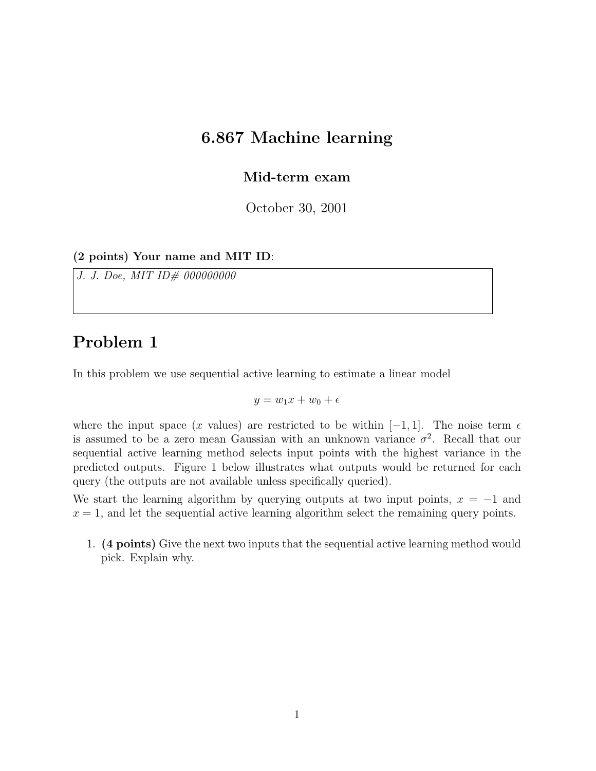#### 6.867 Machine learning

Mid-term exam

October 30, 2001

(2 points) Your name and MIT ID:

J. J. Doe, MIT ID# 000000000

### Problem 1

In this problem we use sequential active learning to estimate a linear model

 $y = w_1x + w_0 + \epsilon$ 

where the input space (x values) are restricted to be within  $[-1, 1]$ . The noise term  $\epsilon$ is assumed to be a zero mean Gaussian with an unknown variance  $\sigma^2$ . Recall that our sequential active learning method selects input points with the highest variance in the predicted outputs. Figure 1 below illustrates what outputs would be returned for each query (the outputs are not available unless specifically queried).

We start the learning algorithm by querying outputs at two input points,  $x = -1$  and  $x = 1$ , and let the sequential active learning algorithm select the remaining query points.

1. (4 points) Give the next two inputs that the sequential active learning method would pick. Explain why.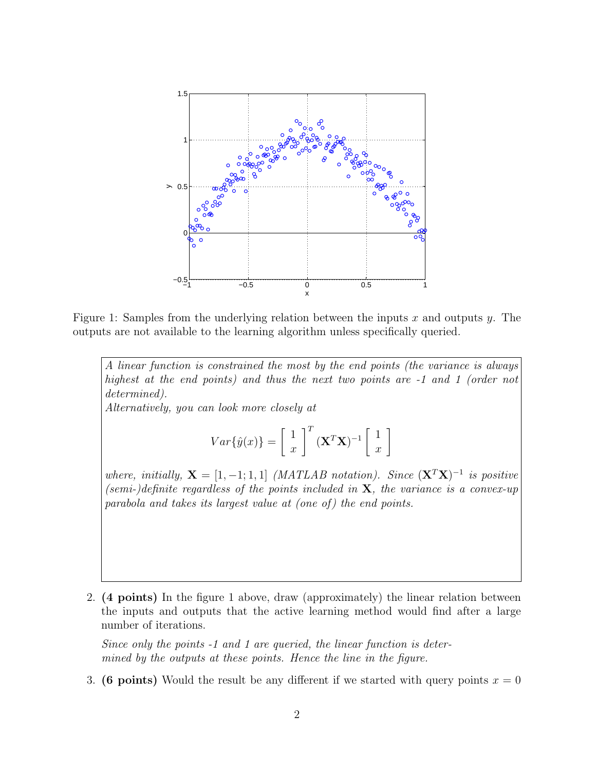

Figure 1: Samples from the underlying relation between the inputs x and outputs y. The outputs are not available to the learning algorithm unless specifically queried.

A linear function is constrained the most by the end points (the variance is always highest at the end points) and thus the next two points are -1 and 1 (order not determined).

Alternatively, you can look more closely at

$$
Var{\hat{y}(x)} = \begin{bmatrix} 1 \\ x \end{bmatrix}^T (\mathbf{X}^T \mathbf{X})^{-1} \begin{bmatrix} 1 \\ x \end{bmatrix}
$$

where, initially,  $X = \begin{bmatrix} 1 & -1 \\ 1 & 1 \end{bmatrix}$  (MATLAB notation). Since  $(X^T X)^{-1}$  is positive (semi-)definite regardless of the points included in  $X$ , the variance is a convex-up parabola and takes its largest value at (one of) the end points.

2. (4 points) In the figure 1 above, draw (approximately) the linear relation between the inputs and outputs that the active learning method would find after a large number of iterations.

Since only the points -1 and 1 are queried, the linear function is determined by the outputs at these points. Hence the line in the figure.

3. (6 points) Would the result be any different if we started with query points  $x = 0$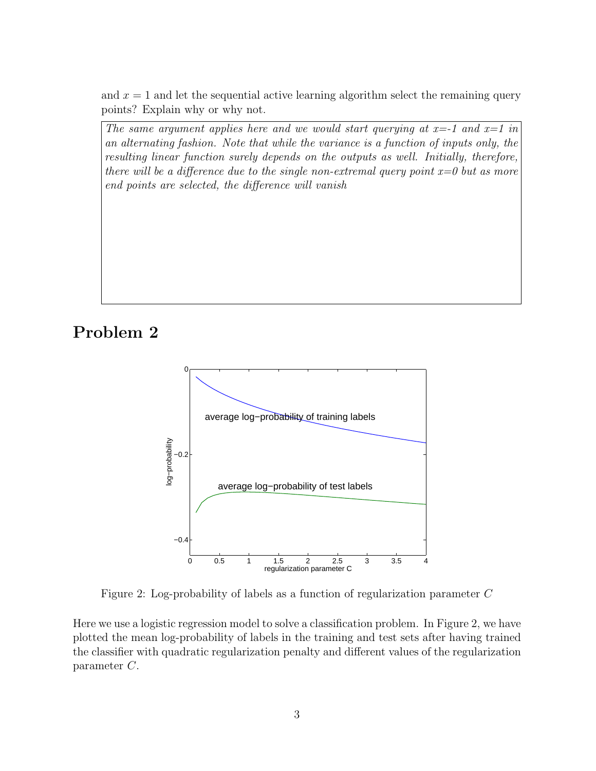and  $x = 1$  and let the sequential active learning algorithm select the remaining query points? Explain why or why not.

The same argument applies here and we would start querying at  $x=1$  and  $x=1$  in an alternating fashion. Note that while the variance is a function of inputs only, the resulting linear function surely depends on the outputs as well. Initially, therefore, there will be a difference due to the single non-extremal query point  $x=0$  but as more end points are selected, the difference will vanish

### Problem 2



Figure 2: Log-probability of labels as a function of regularization parameter C

Here we use a logistic regression model to solve a classification problem. In Figure 2, we have plotted the mean log-probability of labels in the training and test sets after having trained the classifier with quadratic regularization penalty and different values of the regularization parameter C.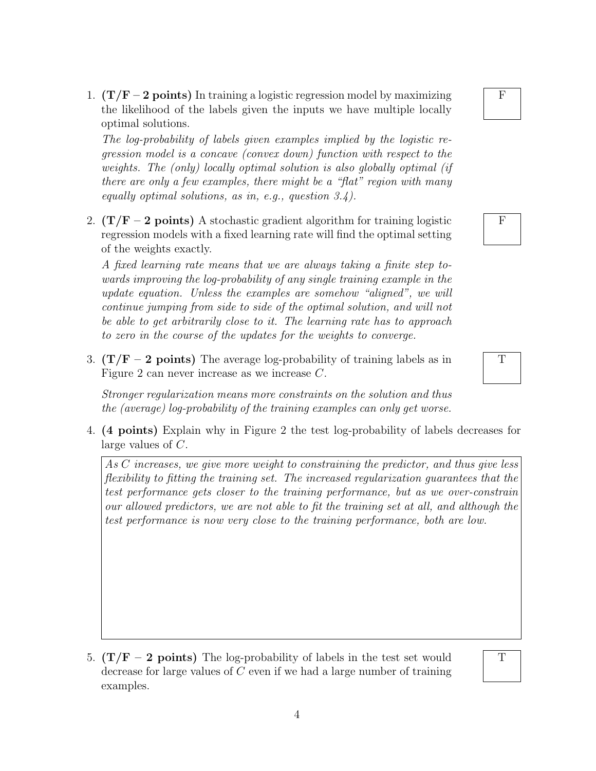1.  $(T/F - 2 points)$  In training a logistic regression model by maximizing the likelihood of the labels given the inputs we have multiple locally optimal solutions.

The log-probability of labels given examples implied by the logistic regression model is a concave (convex down) function with respect to the weights. The (only) locally optimal solution is also globally optimal (if there are only a few examples, there might be a "flat" region with many equally optimal solutions, as in, e.g., question 3.4).

2.  $(T/F - 2$  points) A stochastic gradient algorithm for training logistic regression models with a fixed learning rate will find the optimal setting of the weights exactly.

A fixed learning rate means that we are always taking a finite step towards improving the log-probability of any single training example in the update equation. Unless the examples are somehow "aligned", we will continue jumping from side to side of the optimal solution, and will not be able to get arbitrarily close to it. The learning rate has to approach to zero in the course of the updates for the weights to converge.

3.  $(T/F - 2 points)$  The average log-probability of training labels as in Figure 2 can never increase as we increase C.

Stronger regularization means more constraints on the solution and thus the (average) log-probability of the training examples can only get worse.

4. (4 points) Explain why in Figure 2 the test log-probability of labels decreases for large values of C.

As C increases, we give more weight to constraining the predictor, and thus give less flexibility to fitting the training set. The increased regularization guarantees that the test performance gets closer to the training performance, but as we over-constrain our allowed predictors, we are not able to fit the training set at all, and although the test performance is now very close to the training performance, both are low.

5.  $(T/F - 2 points)$  The log-probability of labels in the test set would decrease for large values of C even if we had a large number of training examples.

#### F

# F

# T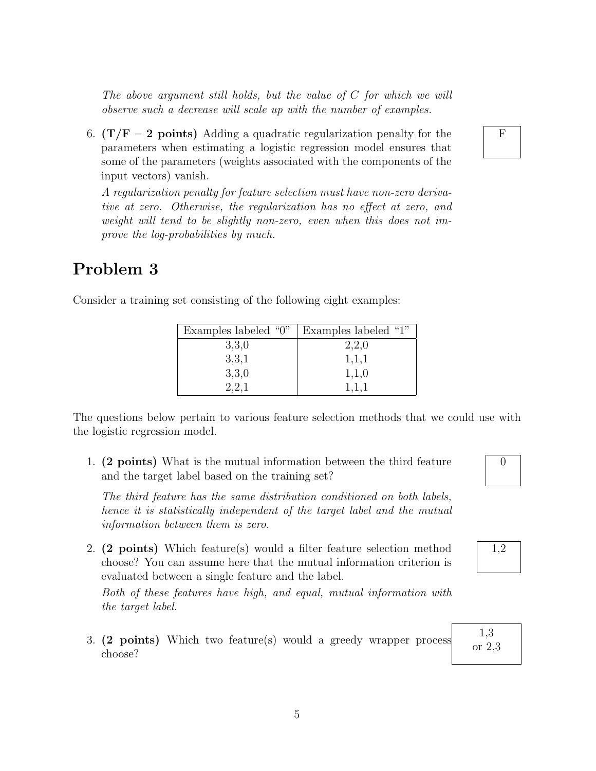The above argument still holds, but the value of C for which we will observe such a decrease will scale up with the number of examples.

6.  $(T/F - 2 points)$  Adding a quadratic regularization penalty for the parameters when estimating a logistic regression model ensures that some of the parameters (weights associated with the components of the input vectors) vanish.

A regularization penalty for feature selection must have non-zero derivative at zero. Otherwise, the regularization has no effect at zero, and weight will tend to be slightly non-zero, even when this does not improve the log-probabilities by much.

#### Problem 3

| Examples labeled "0" | Examples labeled "1" |
|----------------------|----------------------|
| 3,3,0                | 2,2,0                |
| 3,3,1                | 1,1,1                |
| 3,3,0                | 1,1,0                |
| 2.2.1                | 1,1,1                |

Consider a training set consisting of the following eight examples:

The questions below pertain to various feature selection methods that we could use with the logistic regression model.

1. (2 points) What is the mutual information between the third feature and the target label based on the training set?

The third feature has the same distribution conditioned on both labels, hence it is statistically independent of the target label and the mutual information between them is zero.

2. (2 points) Which feature(s) would a filter feature selection method choose? You can assume here that the mutual information criterion is evaluated between a single feature and the label.

Both of these features have high, and equal, mutual information with the target label.

3. (2 points) Which two feature(s) would a greedy wrapper process choose?

1,2

1,3 or 2,3

F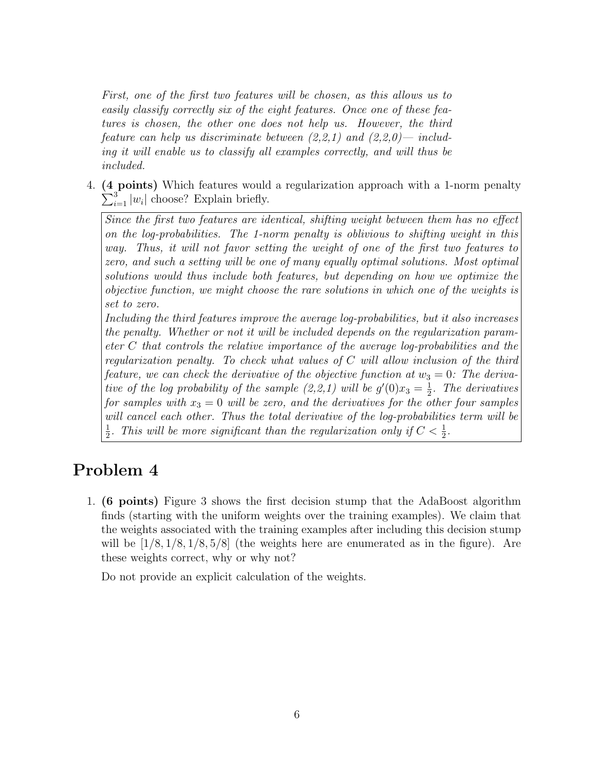First, one of the first two features will be chosen, as this allows us to easily classify correctly six of the eight features. Once one of these features is chosen, the other one does not help us. However, the third feature can help us discriminate between  $(2,2,1)$  and  $(2,2,0)$ — including it will enable us to classify all examples correctly, and will thus be included.

4. (4 points) Which features would a regularization approach with a 1-norm penalty  $\sum_{i=1}^{3} |w_i|$  choose? Explain briefly.

Since the first two features are identical, shifting weight between them has no effect on the log-probabilities. The 1-norm penalty is oblivious to shifting weight in this way. Thus, it will not favor setting the weight of one of the first two features to zero, and such a setting will be one of many equally optimal solutions. Most optimal solutions would thus include both features, but depending on how we optimize the objective function, we might choose the rare solutions in which one of the weights is set to zero.

Including the third features improve the average log-probabilities, but it also increases the penalty. Whether or not it will be included depends on the regularization parameter C that controls the relative importance of the average log-probabilities and the regularization penalty. To check what values of C will allow inclusion of the third feature, we can check the derivative of the objective function at  $w_3 = 0$ : The derivative of the log probability of the sample  $(2,2,1)$  will be  $g'(0)x_3=\frac{1}{2}$  $\frac{1}{2}$ . The derivatives for samples with  $x_3 = 0$  will be zero, and the derivatives for the other four samples will cancel each other. Thus the total derivative of the log-probabilities term will be 1 2 . This will be more significant than the regularization only if  $C < \frac{1}{2}$ .

# Problem 4

1. (6 points) Figure 3 shows the first decision stump that the AdaBoost algorithm finds (starting with the uniform weights over the training examples). We claim that the weights associated with the training examples after including this decision stump will be  $[1/8, 1/8, 1/8, 5/8]$  (the weights here are enumerated as in the figure). Are these weights correct, why or why not?

Do not provide an explicit calculation of the weights.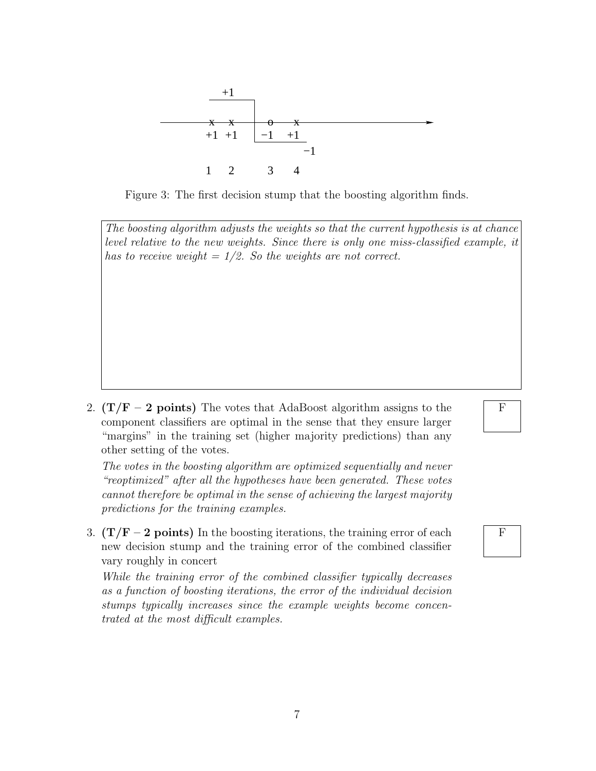

Figure 3: The first decision stump that the boosting algorithm finds.

The boosting algorithm adjusts the weights so that the current hypothesis is at chance level relative to the new weights. Since there is only one miss-classified example, it has to receive weight  $= 1/2$ . So the weights are not correct.

2.  $(T/F - 2$  points) The votes that AdaBoost algorithm assigns to the component classifiers are optimal in the sense that they ensure larger "margins" in the training set (higher majority predictions) than any other setting of the votes.

The votes in the boosting algorithm are optimized sequentially and never "reoptimized" after all the hypotheses have been generated. These votes cannot therefore be optimal in the sense of achieving the largest majority predictions for the training examples.

3.  $(T/F - 2 points)$  In the boosting iterations, the training error of each new decision stump and the training error of the combined classifier vary roughly in concert

While the training error of the combined classifier typically decreases as a function of boosting iterations, the error of the individual decision stumps typically increases since the example weights become concentrated at the most difficult examples.

# F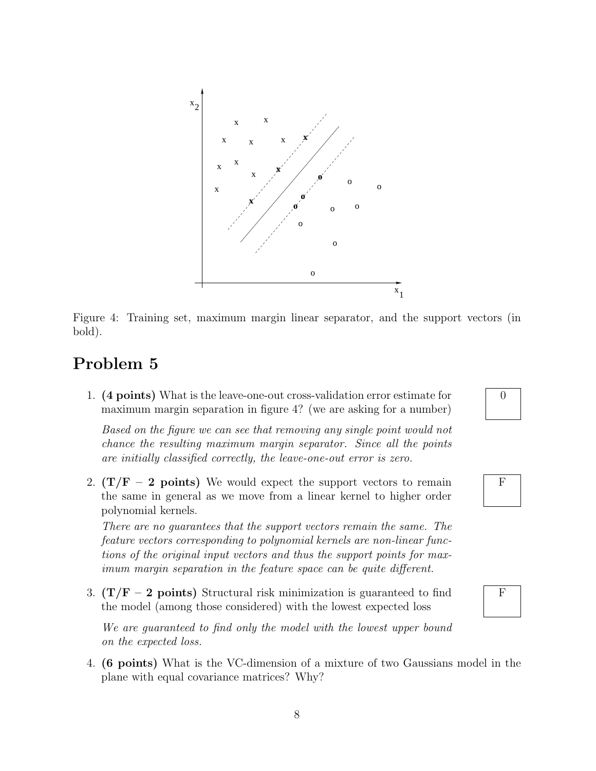

Figure 4: Training set, maximum margin linear separator, and the support vectors (in bold).

#### Problem 5

1. (4 points) What is the leave-one-out cross-validation error estimate for maximum margin separation in figure 4? (we are asking for a number)

Based on the figure we can see that removing any single point would not chance the resulting maximum margin separator. Since all the points are initially classified correctly, the leave-one-out error is zero.

2.  $(T/F - 2$  points) We would expect the support vectors to remain the same in general as we move from a linear kernel to higher order polynomial kernels.

There are no guarantees that the support vectors remain the same. The feature vectors corresponding to polynomial kernels are non-linear functions of the original input vectors and thus the support points for maximum margin separation in the feature space can be quite different.

3.  $(T/F - 2 points)$  Structural risk minimization is guaranteed to find the model (among those considered) with the lowest expected loss

We are guaranteed to find only the model with the lowest upper bound on the expected loss.

4. (6 points) What is the VC-dimension of a mixture of two Gaussians model in the plane with equal covariance matrices? Why?





F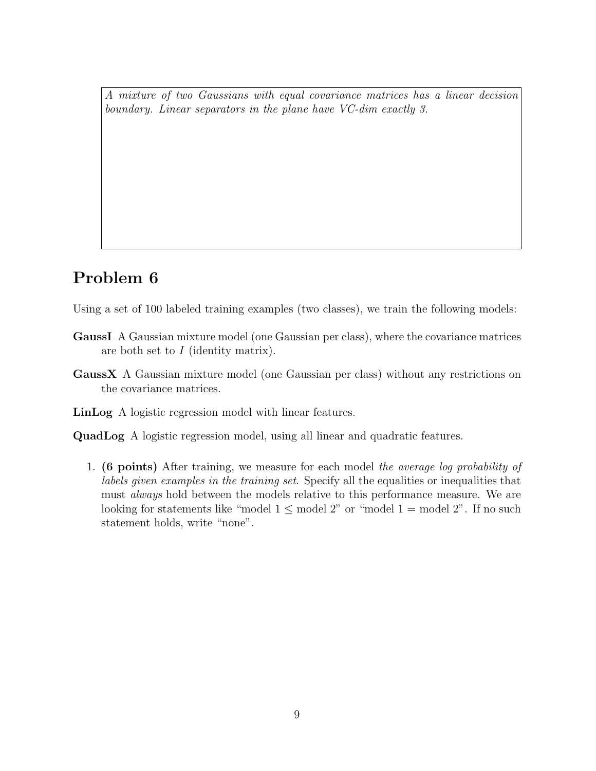A mixture of two Gaussians with equal covariance matrices has a linear decision boundary. Linear separators in the plane have VC-dim exactly 3.

# Problem 6

Using a set of 100 labeled training examples (two classes), we train the following models:

- GaussI A Gaussian mixture model (one Gaussian per class), where the covariance matrices are both set to I (identity matrix).
- GaussX A Gaussian mixture model (one Gaussian per class) without any restrictions on the covariance matrices.
- LinLog A logistic regression model with linear features.
- QuadLog A logistic regression model, using all linear and quadratic features.
	- 1. (6 points) After training, we measure for each model the average log probability of labels given examples in the training set. Specify all the equalities or inequalities that must *always* hold between the models relative to this performance measure. We are looking for statements like "model  $1 \leq$  model  $2$ " or "model  $1 =$  model  $2$ ". If no such statement holds, write "none".